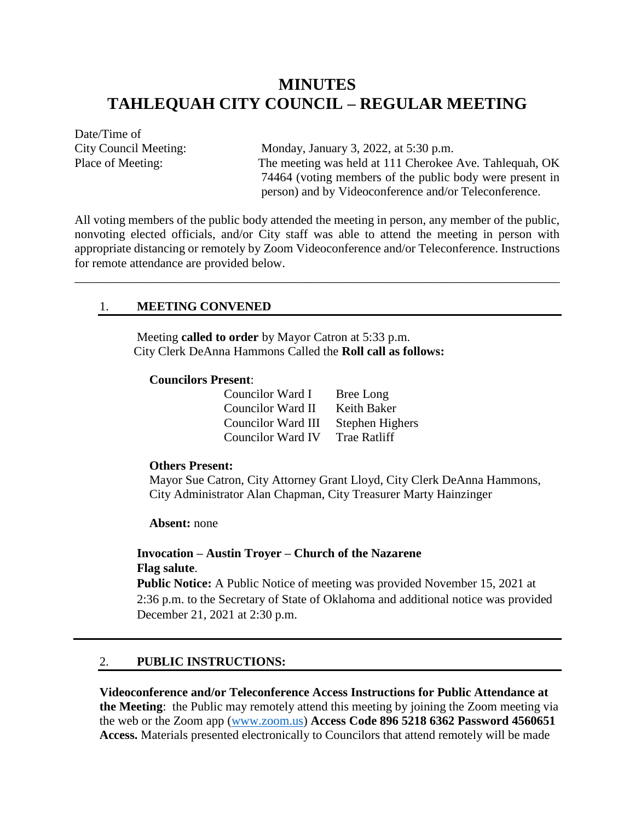# **MINUTES TAHLEQUAH CITY COUNCIL – REGULAR MEETING**

Date/Time of

City Council Meeting: Monday, January 3, 2022, at 5:30 p.m. Place of Meeting: The meeting was held at 111 Cherokee Ave. Tahlequah, OK 74464 (voting members of the public body were present in person) and by Videoconference and/or Teleconference.

All voting members of the public body attended the meeting in person, any member of the public, nonvoting elected officials, and/or City staff was able to attend the meeting in person with appropriate distancing or remotely by Zoom Videoconference and/or Teleconference. Instructions for remote attendance are provided below.

\_\_\_\_\_\_\_\_\_\_\_\_\_\_\_\_\_\_\_\_\_\_\_\_\_\_\_\_\_\_\_\_\_\_\_\_\_\_\_\_\_\_\_\_\_\_\_\_\_\_\_\_\_\_\_\_\_\_\_\_\_\_\_\_\_\_\_\_\_\_\_\_\_\_\_\_\_\_

#### 1. **MEETING CONVENED**

Meeting **called to order** by Mayor Catron at 5:33 p.m. City Clerk DeAnna Hammons Called the **Roll call as follows:**

#### **Councilors Present**:

| Councilor Ward I         | Bree Long           |
|--------------------------|---------------------|
| <b>Councilor Ward II</b> | Keith Baker         |
| Councilor Ward III       | Stephen Highers     |
| <b>Councilor Ward IV</b> | <b>Trae Ratliff</b> |

#### **Others Present:**

Mayor Sue Catron, City Attorney Grant Lloyd, City Clerk DeAnna Hammons, City Administrator Alan Chapman, City Treasurer Marty Hainzinger

**Absent:** none

## **Invocation – Austin Troyer – Church of the Nazarene Flag salute**.

**Public Notice:** A Public Notice of meeting was provided November 15, 2021 at 2:36 p.m. to the Secretary of State of Oklahoma and additional notice was provided December 21, 2021 at 2:30 p.m.

## 2. **PUBLIC INSTRUCTIONS:**

**Videoconference and/or Teleconference Access Instructions for Public Attendance at the Meeting**: the Public may remotely attend this meeting by joining the Zoom meeting via the web or the Zoom app [\(www.zoom.us\)](http://www.zoom.us/) **Access Code 896 5218 6362 Password 4560651 Access.** Materials presented electronically to Councilors that attend remotely will be made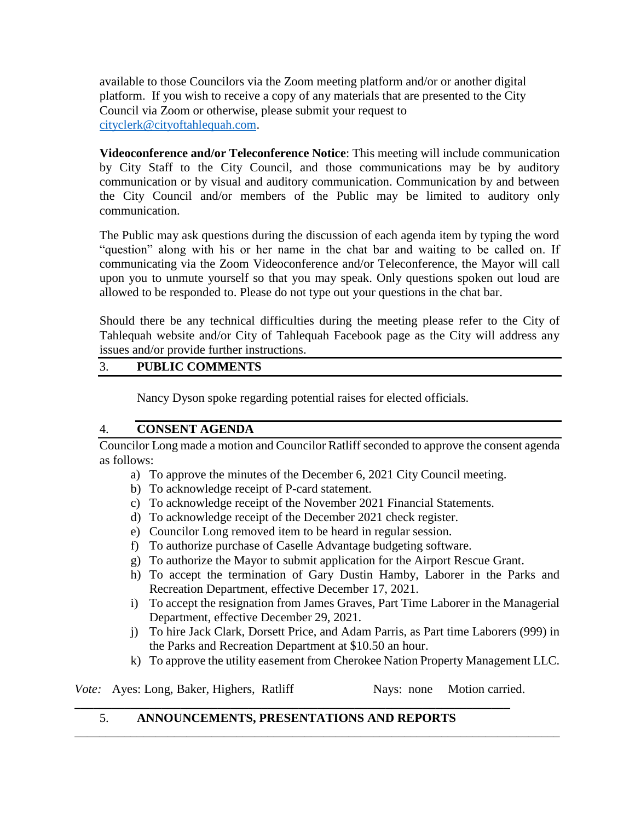available to those Councilors via the Zoom meeting platform and/or or another digital platform. If you wish to receive a copy of any materials that are presented to the City Council via Zoom or otherwise, please submit your request to [cityclerk@cityoftahlequah.com.](mailto:cityclerk@cityoftahlequah.com)

**Videoconference and/or Teleconference Notice**: This meeting will include communication by City Staff to the City Council, and those communications may be by auditory communication or by visual and auditory communication. Communication by and between the City Council and/or members of the Public may be limited to auditory only communication.

The Public may ask questions during the discussion of each agenda item by typing the word "question" along with his or her name in the chat bar and waiting to be called on. If communicating via the Zoom Videoconference and/or Teleconference, the Mayor will call upon you to unmute yourself so that you may speak. Only questions spoken out loud are allowed to be responded to. Please do not type out your questions in the chat bar.

Should there be any technical difficulties during the meeting please refer to the City of Tahlequah website and/or City of Tahlequah Facebook page as the City will address any issues and/or provide further instructions.

# 3. **PUBLIC COMMENTS**

Nancy Dyson spoke regarding potential raises for elected officials.

## 4. **CONSENT AGENDA**

Councilor Long made a motion and Councilor Ratliff seconded to approve the consent agenda as follows:

- a) To approve the minutes of the December 6, 2021 City Council meeting.
- b) To acknowledge receipt of P-card statement.
- c) To acknowledge receipt of the November 2021 Financial Statements.
- d) To acknowledge receipt of the December 2021 check register.
- e) Councilor Long removed item to be heard in regular session.
- f) To authorize purchase of Caselle Advantage budgeting software.
- g) To authorize the Mayor to submit application for the Airport Rescue Grant.
- h) To accept the termination of Gary Dustin Hamby, Laborer in the Parks and Recreation Department, effective December 17, 2021.
- i) To accept the resignation from James Graves, Part Time Laborer in the Managerial Department, effective December 29, 2021.
- j) To hire Jack Clark, Dorsett Price, and Adam Parris, as Part time Laborers (999) in the Parks and Recreation Department at \$10.50 an hour.
- k) To approve the utility easement from Cherokee Nation Property Management LLC.

*Vote:* Ayes: Long, Baker, Highers, Ratliff Nays: none Motion carried.

## 5. **ANNOUNCEMENTS, PRESENTATIONS AND REPORTS**

**\_\_\_\_\_\_\_\_\_\_\_\_\_\_\_\_\_\_\_\_\_\_\_\_\_\_\_\_\_\_\_\_\_\_\_\_\_\_\_\_\_\_\_\_\_\_\_\_\_\_\_\_\_\_\_\_\_\_\_\_\_\_\_\_\_\_\_\_\_\_**

\_\_\_\_\_\_\_\_\_\_\_\_\_\_\_\_\_\_\_\_\_\_\_\_\_\_\_\_\_\_\_\_\_\_\_\_\_\_\_\_\_\_\_\_\_\_\_\_\_\_\_\_\_\_\_\_\_\_\_\_\_\_\_\_\_\_\_\_\_\_\_\_\_\_\_\_\_\_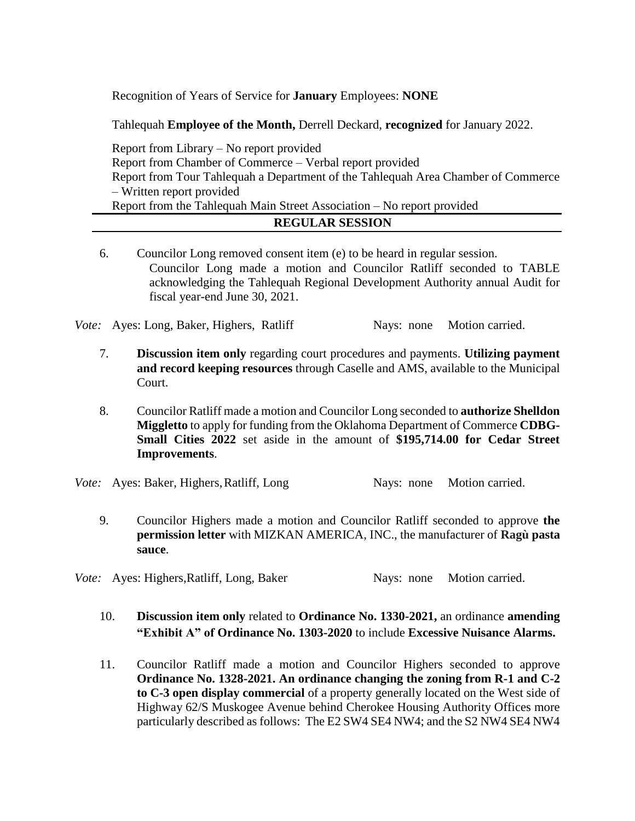Recognition of Years of Service for **January** Employees: **NONE**

Tahlequah **Employee of the Month,** Derrell Deckard, **recognized** for January 2022.

Report from Library – No report provided Report from Chamber of Commerce – Verbal report provided Report from Tour Tahlequah a Department of the Tahlequah Area Chamber of Commerce – Written report provided Report from the Tahlequah Main Street Association – No report provided

- **REGULAR SESSION**
- 6. Councilor Long removed consent item (e) to be heard in regular session. Councilor Long made a motion and Councilor Ratliff seconded to TABLE acknowledging the Tahlequah Regional Development Authority annual Audit for fiscal year-end June 30, 2021.

*Vote:* Ayes: Long, Baker, Highers, Ratliff Nays: none Motion carried.

- 7. **Discussion item only** regarding court procedures and payments. **Utilizing payment and record keeping resources** through Caselle and AMS, available to the Municipal Court.
- 8. Councilor Ratliff made a motion and Councilor Long seconded to **authorize Shelldon Miggletto** to apply for funding from the Oklahoma Department of Commerce **CDBG-Small Cities 2022** set aside in the amount of **\$195,714.00 for Cedar Street Improvements**.

*Vote:* Ayes: Baker, Highers, Ratliff, Long Nays: none Motion carried.

9. Councilor Highers made a motion and Councilor Ratliff seconded to approve **the permission letter** with MIZKAN AMERICA, INC., the manufacturer of **Ragù pasta sauce**.

*Vote:* Ayes: Highers, Ratliff, Long, Baker Nays: none Motion carried.

- 10. **Discussion item only** related to **Ordinance No. 1330-2021,** an ordinance **amending "Exhibit A" of Ordinance No. 1303-2020** to include **Excessive Nuisance Alarms.**
- 11. Councilor Ratliff made a motion and Councilor Highers seconded to approve **Ordinance No. 1328-2021. An ordinance changing the zoning from R-1 and C-2 to C-3 open display commercial** of a property generally located on the West side of Highway 62/S Muskogee Avenue behind Cherokee Housing Authority Offices more particularly described as follows: The E2 SW4 SE4 NW4; and the S2 NW4 SE4 NW4